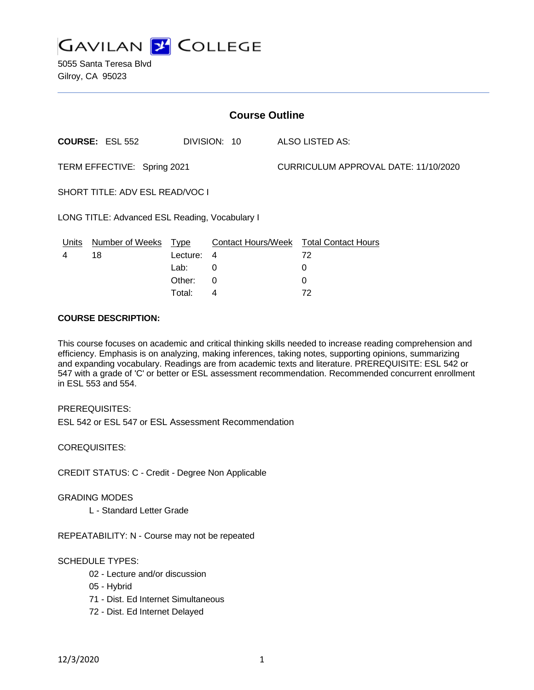

5055 Santa Teresa Blvd Gilroy, CA 95023

| <b>Course Outline</b>                          |                        |          |              |                                      |                                               |
|------------------------------------------------|------------------------|----------|--------------|--------------------------------------|-----------------------------------------------|
|                                                | <b>COURSE: ESL 552</b> |          | DIVISION: 10 |                                      | ALSO LISTED AS:                               |
| TERM EFFECTIVE: Spring 2021                    |                        |          |              | CURRICULUM APPROVAL DATE: 11/10/2020 |                                               |
| SHORT TITLE: ADV ESL READ/VOC I                |                        |          |              |                                      |                                               |
| LONG TITLE: Advanced ESL Reading, Vocabulary I |                        |          |              |                                      |                                               |
| <u>Units</u>                                   | Number of Weeks Type   |          |              |                                      | <b>Contact Hours/Week Total Contact Hours</b> |
| 4                                              | 18                     | Lecture: | 4            |                                      | 72                                            |
|                                                |                        | Lab:     | 0            |                                      | 0                                             |
|                                                |                        | Other:   | 0            |                                      | 0                                             |
|                                                |                        | Total:   | 4            |                                      | 72                                            |

### **COURSE DESCRIPTION:**

This course focuses on academic and critical thinking skills needed to increase reading comprehension and efficiency. Emphasis is on analyzing, making inferences, taking notes, supporting opinions, summarizing and expanding vocabulary. Readings are from academic texts and literature. PREREQUISITE: ESL 542 or 547 with a grade of 'C' or better or ESL assessment recommendation. Recommended concurrent enrollment in ESL 553 and 554.

PREREQUISITES:

ESL 542 or ESL 547 or ESL Assessment Recommendation

COREQUISITES:

CREDIT STATUS: C - Credit - Degree Non Applicable

#### GRADING MODES

L - Standard Letter Grade

REPEATABILITY: N - Course may not be repeated

## SCHEDULE TYPES:

- 02 Lecture and/or discussion
- 05 Hybrid
- 71 Dist. Ed Internet Simultaneous
- 72 Dist. Ed Internet Delayed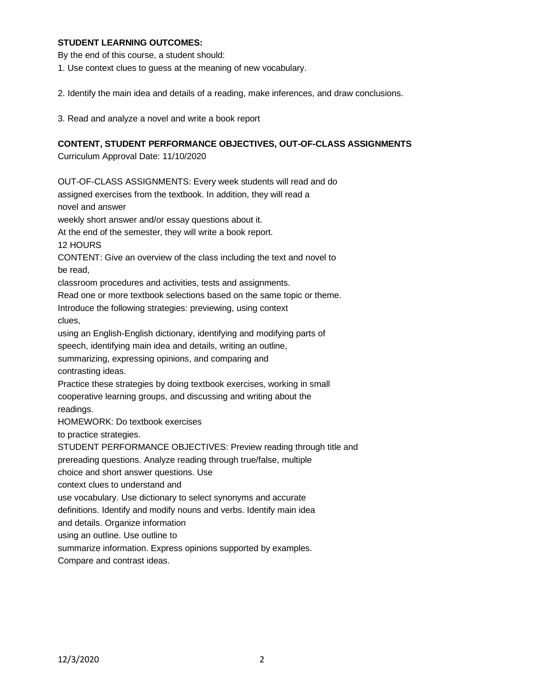### **STUDENT LEARNING OUTCOMES:**

By the end of this course, a student should:

1. Use context clues to guess at the meaning of new vocabulary.

2. Identify the main idea and details of a reading, make inferences, and draw conclusions.

3. Read and analyze a novel and write a book report

### **CONTENT, STUDENT PERFORMANCE OBJECTIVES, OUT-OF-CLASS ASSIGNMENTS**

Curriculum Approval Date: 11/10/2020

OUT-OF-CLASS ASSIGNMENTS: Every week students will read and do assigned exercises from the textbook. In addition, they will read a novel and answer weekly short answer and/or essay questions about it. At the end of the semester, they will write a book report. 12 HOURS CONTENT: Give an overview of the class including the text and novel to be read, classroom procedures and activities, tests and assignments. Read one or more textbook selections based on the same topic or theme. Introduce the following strategies: previewing, using context clues, using an English-English dictionary, identifying and modifying parts of speech, identifying main idea and details, writing an outline, summarizing, expressing opinions, and comparing and contrasting ideas. Practice these strategies by doing textbook exercises, working in small cooperative learning groups, and discussing and writing about the readings. HOMEWORK: Do textbook exercises to practice strategies. STUDENT PERFORMANCE OBJECTIVES: Preview reading through title and prereading questions. Analyze reading through true/false, multiple choice and short answer questions. Use context clues to understand and use vocabulary. Use dictionary to select synonyms and accurate definitions. Identify and modify nouns and verbs. Identify main idea and details. Organize information using an outline. Use outline to summarize information. Express opinions supported by examples. Compare and contrast ideas.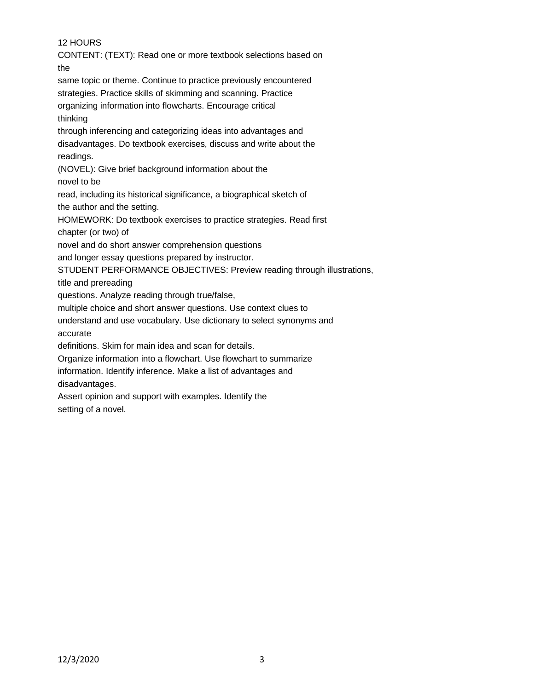# 12 HOURS

CONTENT: (TEXT): Read one or more textbook selections based on the

same topic or theme. Continue to practice previously encountered strategies. Practice skills of skimming and scanning. Practice organizing information into flowcharts. Encourage critical thinking

through inferencing and categorizing ideas into advantages and disadvantages. Do textbook exercises, discuss and write about the readings.

(NOVEL): Give brief background information about the

novel to be

read, including its historical significance, a biographical sketch of

the author and the setting.

HOMEWORK: Do textbook exercises to practice strategies. Read first chapter (or two) of

novel and do short answer comprehension questions

and longer essay questions prepared by instructor.

STUDENT PERFORMANCE OBJECTIVES: Preview reading through illustrations,

title and prereading

questions. Analyze reading through true/false,

multiple choice and short answer questions. Use context clues to

understand and use vocabulary. Use dictionary to select synonyms and

accurate

definitions. Skim for main idea and scan for details.

Organize information into a flowchart. Use flowchart to summarize

information. Identify inference. Make a list of advantages and disadvantages.

Assert opinion and support with examples. Identify the setting of a novel.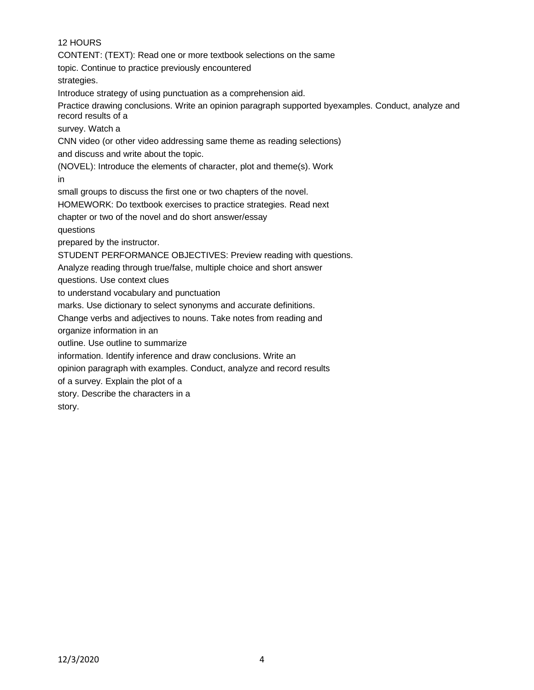# 12 HOURS

CONTENT: (TEXT): Read one or more textbook selections on the same

topic. Continue to practice previously encountered

strategies.

Introduce strategy of using punctuation as a comprehension aid.

Practice drawing conclusions. Write an opinion paragraph supported byexamples. Conduct, analyze and record results of a

survey. Watch a

CNN video (or other video addressing same theme as reading selections) and discuss and write about the topic.

(NOVEL): Introduce the elements of character, plot and theme(s). Work

in

small groups to discuss the first one or two chapters of the novel.

HOMEWORK: Do textbook exercises to practice strategies. Read next

chapter or two of the novel and do short answer/essay

questions

prepared by the instructor.

STUDENT PERFORMANCE OBJECTIVES: Preview reading with questions.

Analyze reading through true/false, multiple choice and short answer

questions. Use context clues

to understand vocabulary and punctuation

marks. Use dictionary to select synonyms and accurate definitions.

Change verbs and adjectives to nouns. Take notes from reading and

organize information in an

outline. Use outline to summarize

information. Identify inference and draw conclusions. Write an

opinion paragraph with examples. Conduct, analyze and record results

of a survey. Explain the plot of a

story. Describe the characters in a

story.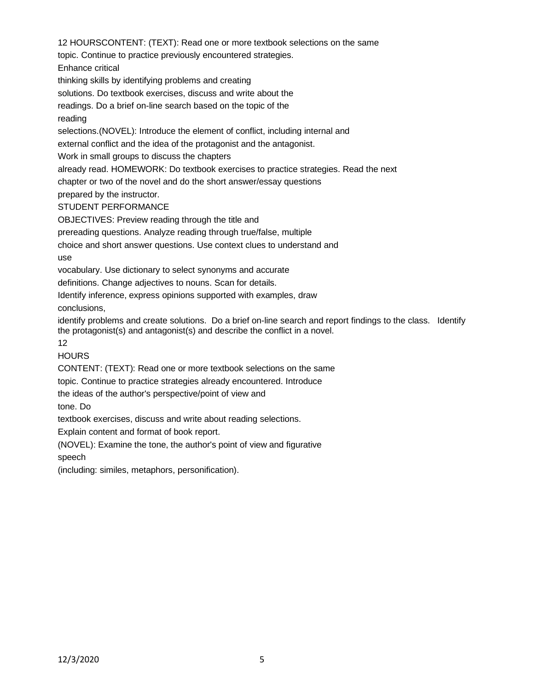12 HOURSCONTENT: (TEXT): Read one or more textbook selections on the same topic. Continue to practice previously encountered strategies. Enhance critical thinking skills by identifying problems and creating solutions. Do textbook exercises, discuss and write about the readings. Do a brief on-line search based on the topic of the reading selections.(NOVEL): Introduce the element of conflict, including internal and external conflict and the idea of the protagonist and the antagonist. Work in small groups to discuss the chapters already read. HOMEWORK: Do textbook exercises to practice strategies. Read the next chapter or two of the novel and do the short answer/essay questions

prepared by the instructor.

STUDENT PERFORMANCE

OBJECTIVES: Preview reading through the title and

prereading questions. Analyze reading through true/false, multiple

choice and short answer questions. Use context clues to understand and use

vocabulary. Use dictionary to select synonyms and accurate

definitions. Change adjectives to nouns. Scan for details.

Identify inference, express opinions supported with examples, draw conclusions,

identify problems and create solutions. Do a brief on-line search and report findings to the class. Identify the protagonist(s) and antagonist(s) and describe the conflict in a novel.

12

HOURS

CONTENT: (TEXT): Read one or more textbook selections on the same

topic. Continue to practice strategies already encountered. Introduce

the ideas of the author's perspective/point of view and

tone. Do

textbook exercises, discuss and write about reading selections.

Explain content and format of book report.

(NOVEL): Examine the tone, the author's point of view and figurative speech

(including: similes, metaphors, personification).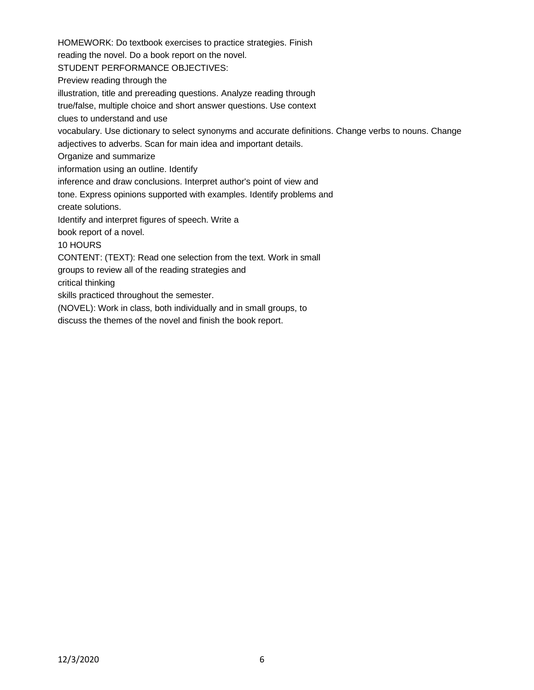HOMEWORK: Do textbook exercises to practice strategies. Finish reading the novel. Do a book report on the novel. STUDENT PERFORMANCE OBJECTIVES: Preview reading through the illustration, title and prereading questions. Analyze reading through true/false, multiple choice and short answer questions. Use context clues to understand and use vocabulary. Use dictionary to select synonyms and accurate definitions. Change verbs to nouns. Change adjectives to adverbs. Scan for main idea and important details. Organize and summarize information using an outline. Identify inference and draw conclusions. Interpret author's point of view and tone. Express opinions supported with examples. Identify problems and create solutions. Identify and interpret figures of speech. Write a book report of a novel. 10 HOURS CONTENT: (TEXT): Read one selection from the text. Work in small groups to review all of the reading strategies and critical thinking skills practiced throughout the semester. (NOVEL): Work in class, both individually and in small groups, to

discuss the themes of the novel and finish the book report.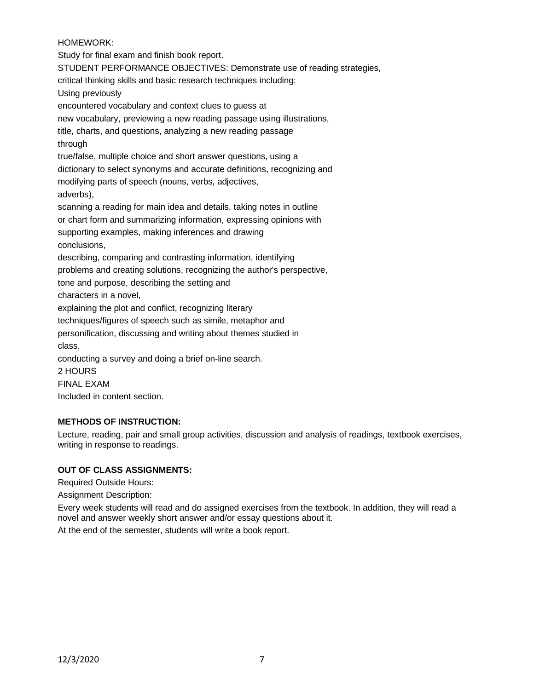## HOMEWORK:

Study for final exam and finish book report. STUDENT PERFORMANCE OBJECTIVES: Demonstrate use of reading strategies, critical thinking skills and basic research techniques including: Using previously encountered vocabulary and context clues to guess at new vocabulary, previewing a new reading passage using illustrations, title, charts, and questions, analyzing a new reading passage through true/false, multiple choice and short answer questions, using a dictionary to select synonyms and accurate definitions, recognizing and modifying parts of speech (nouns, verbs, adjectives, adverbs), scanning a reading for main idea and details, taking notes in outline or chart form and summarizing information, expressing opinions with supporting examples, making inferences and drawing conclusions, describing, comparing and contrasting information, identifying problems and creating solutions, recognizing the author's perspective, tone and purpose, describing the setting and characters in a novel, explaining the plot and conflict, recognizing literary techniques/figures of speech such as simile, metaphor and personification, discussing and writing about themes studied in class, conducting a survey and doing a brief on-line search. 2 HOURS FINAL EXAM Included in content section.

## **METHODS OF INSTRUCTION:**

Lecture, reading, pair and small group activities, discussion and analysis of readings, textbook exercises, writing in response to readings.

# **OUT OF CLASS ASSIGNMENTS:**

Required Outside Hours:

Assignment Description:

Every week students will read and do assigned exercises from the textbook. In addition, they will read a novel and answer weekly short answer and/or essay questions about it. At the end of the semester, students will write a book report.